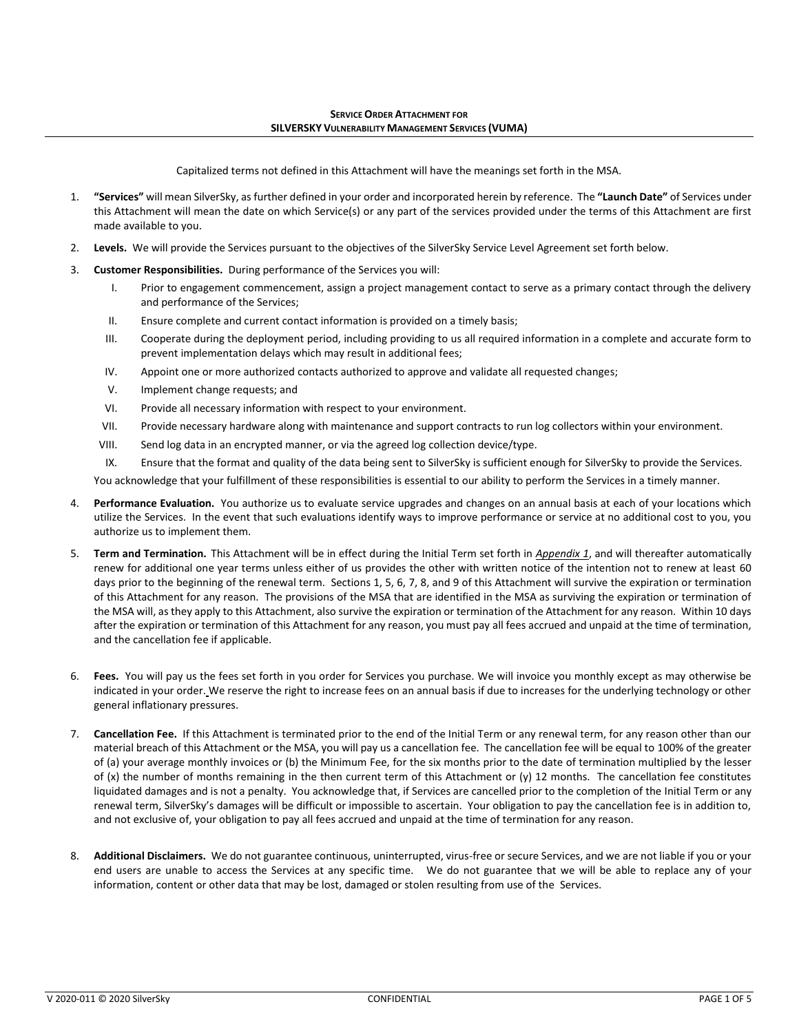Capitalized terms not defined in this Attachment will have the meanings set forth in the MSA.

- 1. **"Services"** will mean SilverSky, as further defined in your order and incorporated herein by reference. The **"Launch Date"** of Services under this Attachment will mean the date on which Service(s) or any part of the services provided under the terms of this Attachment are first made available to you.
- 2. **Levels.** We will provide the Services pursuant to the objectives of the SilverSky Service Level Agreement set forth below.
- 3. **Customer Responsibilities.** During performance of the Services you will:
	- I. Prior to engagement commencement, assign a project management contact to serve as a primary contact through the delivery and performance of the Services;
	- II. Ensure complete and current contact information is provided on a timely basis;
	- III. Cooperate during the deployment period, including providing to us all required information in a complete and accurate form to prevent implementation delays which may result in additional fees;
	- IV. Appoint one or more authorized contacts authorized to approve and validate all requested changes;
	- V. Implement change requests; and
	- VI. Provide all necessary information with respect to your environment.
	- VII. Provide necessary hardware along with maintenance and support contracts to run log collectors within your environment.
	- VIII. Send log data in an encrypted manner, or via the agreed log collection device/type.
	- IX. Ensure that the format and quality of the data being sent to SilverSky is sufficient enough for SilverSky to provide the Services.

You acknowledge that your fulfillment of these responsibilities is essential to our ability to perform the Services in a timely manner.

- Performance Evaluation. You authorize us to evaluate service upgrades and changes on an annual basis at each of your locations which utilize the Services. In the event that such evaluations identify ways to improve performance or service at no additional cost to you, you authorize us to implement them.
- 5. **Term and Termination.** This Attachment will be in effect during the Initial Term set forth in *Appendix 1*, and will thereafter automatically renew for additional one year terms unless either of us provides the other with written notice of the intention not to renew at least 60 days prior to the beginning of the renewal term. Sections 1, 5, 6, 7, 8, and 9 of this Attachment will survive the expiration or termination of this Attachment for any reason. The provisions of the MSA that are identified in the MSA as surviving the expiration or termination of the MSA will, as they apply to this Attachment, also survive the expiration or termination of the Attachment for any reason. Within 10 days after the expiration or termination of this Attachment for any reason, you must pay all fees accrued and unpaid at the time of termination, and the cancellation fee if applicable.
- 6. **Fees.** You will pay us the fees set forth in you order for Services you purchase. We will invoice you monthly except as may otherwise be indicated in your order. We reserve the right to increase fees on an annual basis if due to increases for the underlying technology or other general inflationary pressures.
- 7. **Cancellation Fee.** If this Attachment is terminated prior to the end of the Initial Term or any renewal term, for any reason other than our material breach of this Attachment or the MSA, you will pay us a cancellation fee. The cancellation fee will be equal to 100% of the greater of (a) your average monthly invoices or (b) the Minimum Fee, for the six months prior to the date of termination multiplied by the lesser of (x) the number of months remaining in the then current term of this Attachment or (y) 12 months. The cancellation fee constitutes liquidated damages and is not a penalty. You acknowledge that, if Services are cancelled prior to the completion of the Initial Term or any renewal term, SilverSky's damages will be difficult or impossible to ascertain. Your obligation to pay the cancellation fee is in addition to, and not exclusive of, your obligation to pay all fees accrued and unpaid at the time of termination for any reason.
- 8. **Additional Disclaimers.** We do not guarantee continuous, uninterrupted, virus-free or secure Services, and we are not liable if you or your end users are unable to access the Services at any specific time. We do not guarantee that we will be able to replace any of your information, content or other data that may be lost, damaged or stolen resulting from use of the Services.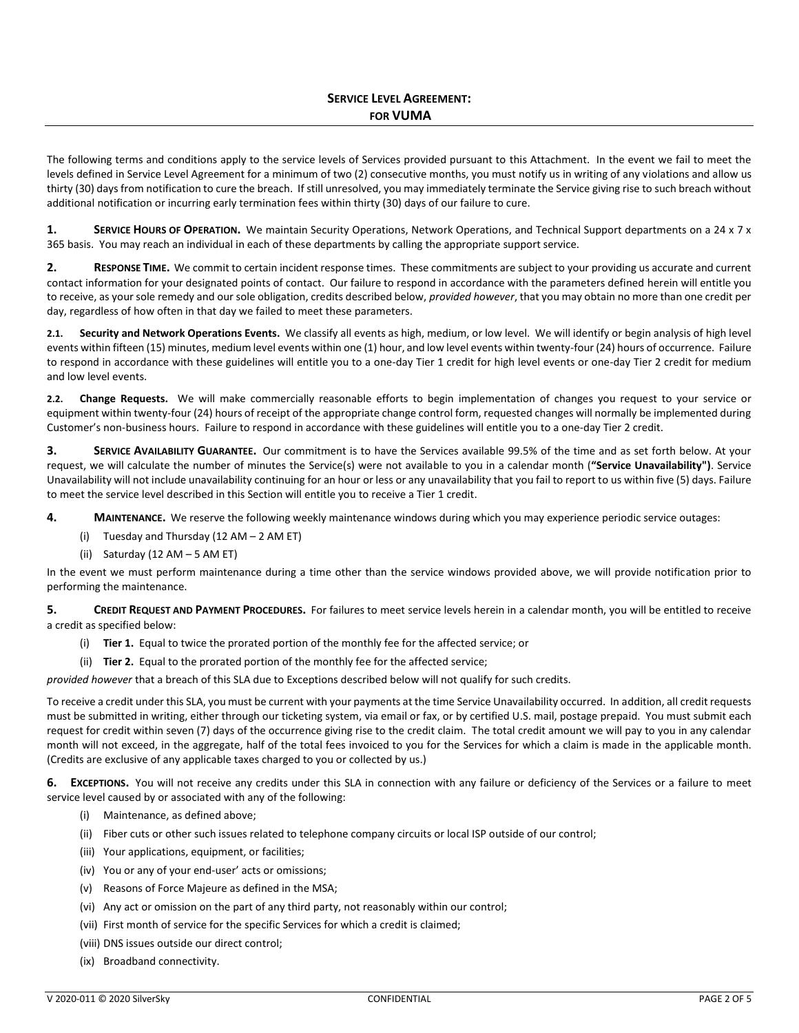The following terms and conditions apply to the service levels of Services provided pursuant to this Attachment. In the event we fail to meet the levels defined in Service Level Agreement for a minimum of two (2) consecutive months, you must notify us in writing of any violations and allow us thirty (30) days from notification to cure the breach. If still unresolved, you may immediately terminate the Service giving rise to such breach without additional notification or incurring early termination fees within thirty (30) days of our failure to cure.

**1.** SERVICE HOURS OF OPERATION. We maintain Security Operations, Network Operations, and Technical Support departments on a 24 x 7 x 365 basis. You may reach an individual in each of these departments by calling the appropriate support service.

**2. RESPONSE TIME.** We commit to certain incident response times. These commitments are subject to your providing us accurate and current contact information for your designated points of contact. Our failure to respond in accordance with the parameters defined herein will entitle you to receive, as your sole remedy and our sole obligation, credits described below, *provided however*, that you may obtain no more than one credit per day, regardless of how often in that day we failed to meet these parameters.

**2.1. Security and Network Operations Events.** We classify all events as high, medium, or low level. We will identify or begin analysis of high level events within fifteen (15) minutes, medium level events within one (1) hour, and low level events within twenty-four (24) hours of occurrence. Failure to respond in accordance with these guidelines will entitle you to a one-day Tier 1 credit for high level events or one-day Tier 2 credit for medium and low level events.

**2.2. Change Requests.** We will make commercially reasonable efforts to begin implementation of changes you request to your service or equipment within twenty-four (24) hours of receipt of the appropriate change control form, requested changes will normally be implemented during Customer's non-business hours. Failure to respond in accordance with these guidelines will entitle you to a one-day Tier 2 credit.

**3. SERVICE AVAILABILITY GUARANTEE.** Our commitment is to have the Services available 99.5% of the time and as set forth below. At your request, we will calculate the number of minutes the Service(s) were not available to you in a calendar month (**"Service Unavailability")**. Service Unavailability will not include unavailability continuing for an hour or less or any unavailability that you fail to report to us within five (5) days. Failure to meet the service level described in this Section will entitle you to receive a Tier 1 credit.

**4. MAINTENANCE.** We reserve the following weekly maintenance windows during which you may experience periodic service outages:

- (i) Tuesday and Thursday (12 AM 2 AM ET)
- (ii) Saturday (12 AM 5 AM ET)

In the event we must perform maintenance during a time other than the service windows provided above, we will provide notification prior to performing the maintenance.

**5. CREDIT REQUEST AND PAYMENT PROCEDURES.** For failures to meet service levels herein in a calendar month, you will be entitled to receive a credit as specified below:

- (i) **Tier 1.** Equal to twice the prorated portion of the monthly fee for the affected service; or
- (ii) **Tier 2.** Equal to the prorated portion of the monthly fee for the affected service;

*provided however* that a breach of this SLA due to Exceptions described below will not qualify for such credits.

To receive a credit under this SLA, you must be current with your payments at the time Service Unavailability occurred. In addition, all credit requests must be submitted in writing, either through our ticketing system, via email or fax, or by certified U.S. mail, postage prepaid. You must submit each request for credit within seven (7) days of the occurrence giving rise to the credit claim. The total credit amount we will pay to you in any calendar month will not exceed, in the aggregate, half of the total fees invoiced to you for the Services for which a claim is made in the applicable month. (Credits are exclusive of any applicable taxes charged to you or collected by us.)

**6. EXCEPTIONS.** You will not receive any credits under this SLA in connection with any failure or deficiency of the Services or a failure to meet service level caused by or associated with any of the following:

- (i) Maintenance, as defined above;
- (ii) Fiber cuts or other such issues related to telephone company circuits or local ISP outside of our control;
- (iii) Your applications, equipment, or facilities;
- (iv) You or any of your end-user' acts or omissions;
- (v) Reasons of Force Majeure as defined in the MSA;
- (vi) Any act or omission on the part of any third party, not reasonably within our control;
- (vii) First month of service for the specific Services for which a credit is claimed;
- (viii) DNS issues outside our direct control;
- (ix) Broadband connectivity.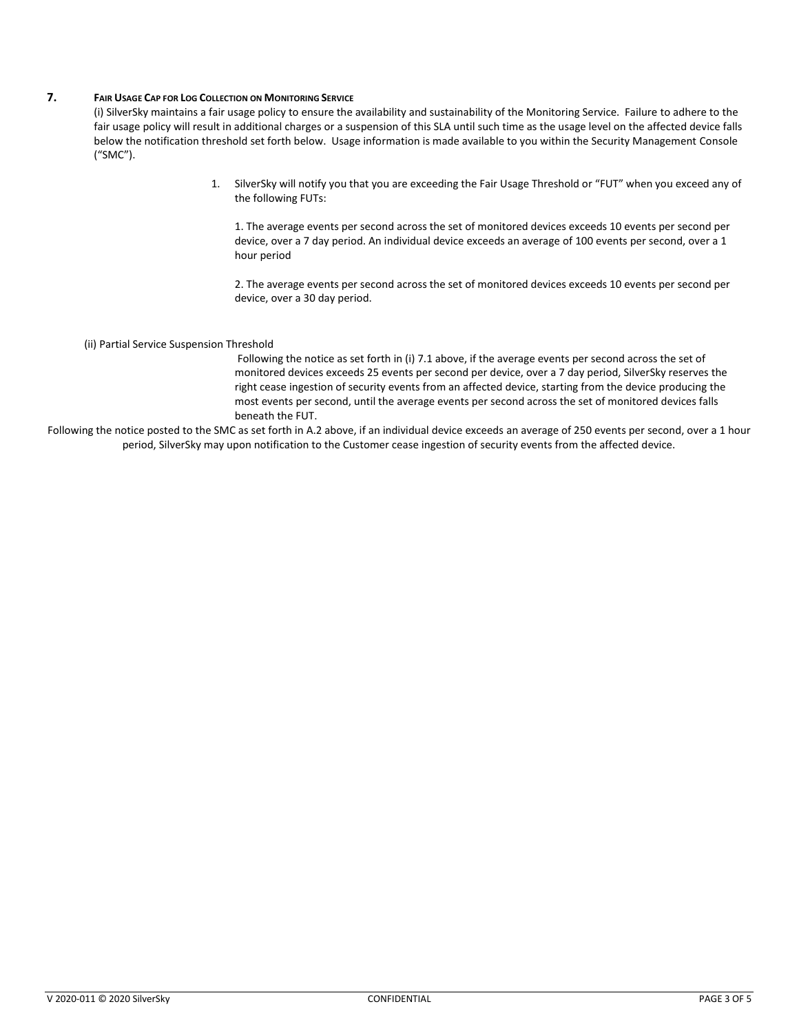### **7. FAIR USAGE CAP FOR LOG COLLECTION ON MONITORING SERVICE**

(i) SilverSky maintains a fair usage policy to ensure the availability and sustainability of the Monitoring Service. Failure to adhere to the fair usage policy will result in additional charges or a suspension of this SLA until such time as the usage level on the affected device falls below the notification threshold set forth below. Usage information is made available to you within the Security Management Console ("SMC").

> 1. SilverSky will notify you that you are exceeding the Fair Usage Threshold or "FUT" when you exceed any of the following FUTs:

1. The average events per second across the set of monitored devices exceeds 10 events per second per device, over a 7 day period. An individual device exceeds an average of 100 events per second, over a 1 hour period

2. The average events per second across the set of monitored devices exceeds 10 events per second per device, over a 30 day period.

#### (ii) Partial Service Suspension Threshold

Following the notice as set forth in (i) 7.1 above, if the average events per second across the set of monitored devices exceeds 25 events per second per device, over a 7 day period, SilverSky reserves the right cease ingestion of security events from an affected device, starting from the device producing the most events per second, until the average events per second across the set of monitored devices falls beneath the FUT.

Following the notice posted to the SMC as set forth in A.2 above, if an individual device exceeds an average of 250 events per second, over a 1 hour period, SilverSky may upon notification to the Customer cease ingestion of security events from the affected device.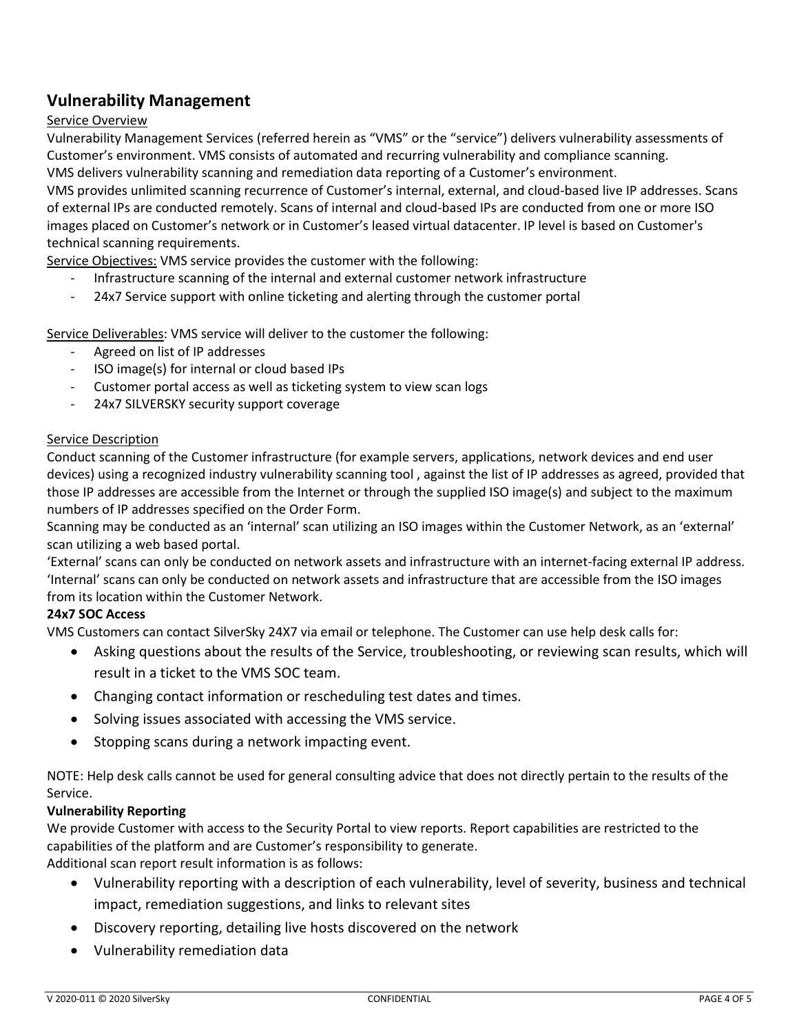# **Vulnerability Management**

## Service Overview

Vulnerability Management Services (referred herein as "VMS" or the "service") delivers vulnerability assessments of Customer's environment. VMS consists of automated and recurring vulnerability and compliance scanning. VMS delivers vulnerability scanning and remediation data reporting of a Customer's environment.

VMS provides unlimited scanning recurrence of Customer's internal, external, and cloud-based live IP addresses. Scans of external IPs are conducted remotely. Scans of internal and cloud-based IPs are conducted from one or more ISO images placed on Customer's network or in Customer's leased virtual datacenter. IP level is based on Customer's technical scanning requirements.

Service Objectives: VMS service provides the customer with the following:

- Infrastructure scanning of the internal and external customer network infrastructure
- 24x7 Service support with online ticketing and alerting through the customer portal

Service Deliverables: VMS service will deliver to the customer the following:

- Agreed on list of IP addresses
- ISO image(s) for internal or cloud based IPs
- Customer portal access as well as ticketing system to view scan logs
- 24x7 SILVERSKY security support coverage

## Service Description

Conduct scanning of the Customer infrastructure (for example servers, applications, network devices and end user devices) using a recognized industry vulnerability scanning tool , against the list of IP addresses as agreed, provided that those IP addresses are accessible from the Internet or through the supplied ISO image(s) and subject to the maximum numbers of IP addresses specified on the Order Form.

Scanning may be conducted as an 'internal' scan utilizing an ISO images within the Customer Network, as an 'external' scan utilizing a web based portal.

'External' scans can only be conducted on network assets and infrastructure with an internet-facing external IP address. 'Internal' scans can only be conducted on network assets and infrastructure that are accessible from the ISO images from its location within the Customer Network.

## **24x7 SOC Access**

VMS Customers can contact SilverSky 24X7 via email or telephone. The Customer can use help desk calls for:

- Asking questions about the results of the Service, troubleshooting, or reviewing scan results, which will result in a ticket to the VMS SOC team.
- Changing contact information or rescheduling test dates and times.
- Solving issues associated with accessing the VMS service.
- Stopping scans during a network impacting event.

NOTE: Help desk calls cannot be used for general consulting advice that does not directly pertain to the results of the Service.

## **Vulnerability Reporting**

We provide Customer with access to the Security Portal to view reports. Report capabilities are restricted to the capabilities of the platform and are Customer's responsibility to generate.

Additional scan report result information is as follows:

- Vulnerability reporting with a description of each vulnerability, level of severity, business and technical impact, remediation suggestions, and links to relevant sites
- Discovery reporting, detailing live hosts discovered on the network
- Vulnerability remediation data